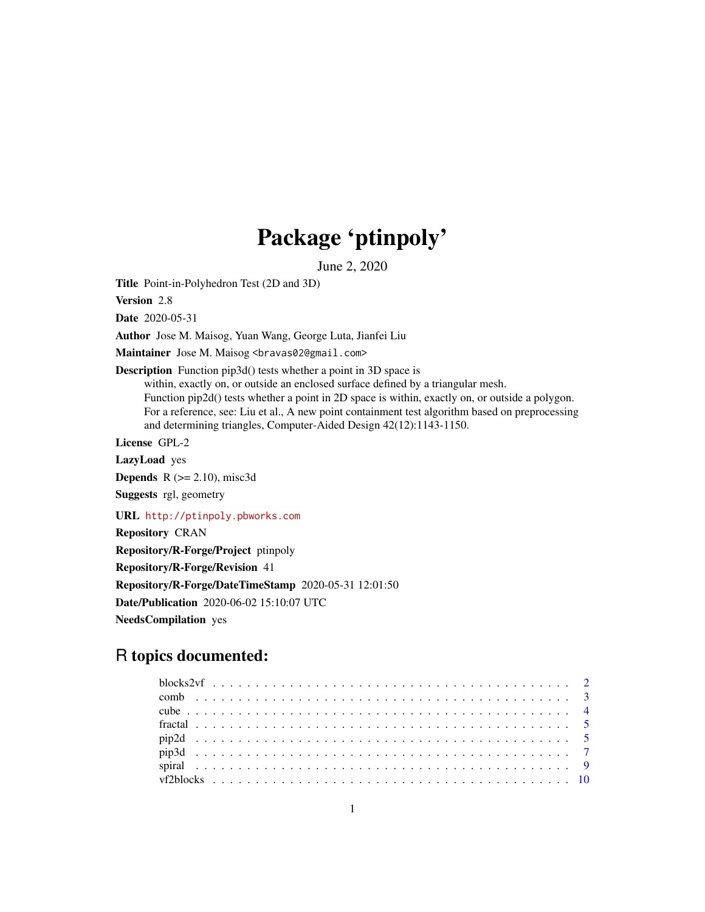# Package 'ptinpoly'

June 2, 2020

Title Point-in-Polyhedron Test (2D and 3D)

Version 2.8

Date 2020-05-31

Author Jose M. Maisog, Yuan Wang, George Luta, Jianfei Liu

Maintainer Jose M. Maisog <bravas02@gmail.com>

Description Function pip3d() tests whether a point in 3D space is within, exactly on, or outside an enclosed surface defined by a triangular mesh. Function pip2d() tests whether a point in 2D space is within, exactly on, or outside a polygon. For a reference, see: Liu et al., A new point containment test algorithm based on preprocessing and determining triangles, Computer-Aided Design 42(12):1143-1150.

License GPL-2

LazyLoad yes

**Depends**  $R$  ( $>= 2.10$ ), misc3d

Suggests rgl, geometry

URL <http://ptinpoly.pbworks.com>

Repository CRAN

Repository/R-Forge/Project ptinpoly

Repository/R-Forge/Revision 41

Repository/R-Forge/DateTimeStamp 2020-05-31 12:01:50

Date/Publication 2020-06-02 15:10:07 UTC

NeedsCompilation yes

# R topics documented: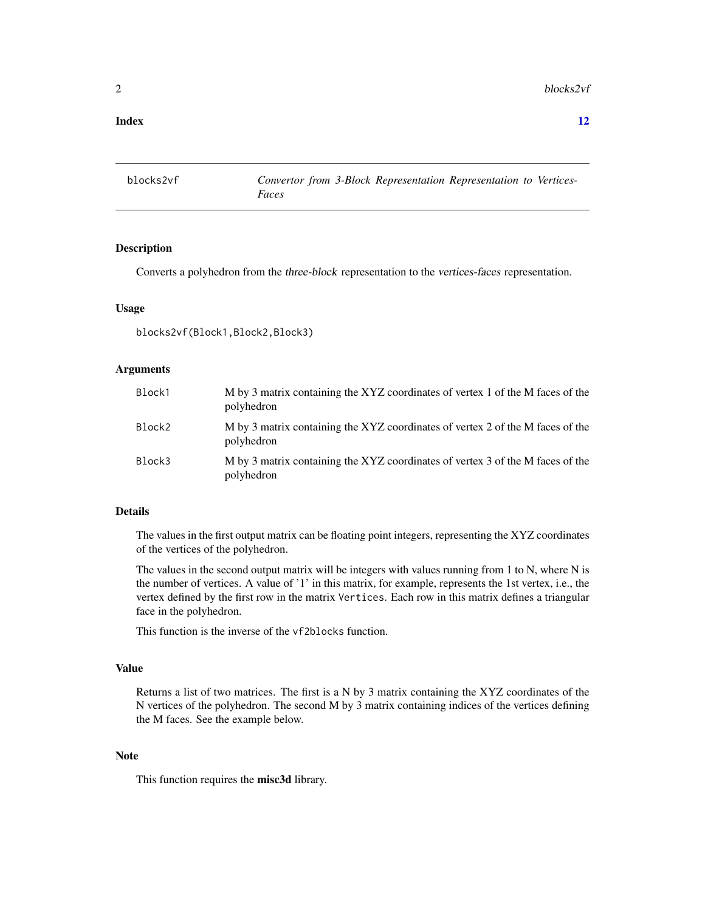#### <span id="page-1-0"></span>**Index** [12](#page-11-0)

blocks2vf *Convertor from 3-Block Representation Representation to Vertices-Faces*

#### Description

Converts a polyhedron from the three-block representation to the vertices-faces representation.

#### Usage

blocks2vf(Block1,Block2,Block3)

#### Arguments

| Block1 | M by 3 matrix containing the XYZ coordinates of vertex 1 of the M faces of the<br>polyhedron |
|--------|----------------------------------------------------------------------------------------------|
| Block2 | M by 3 matrix containing the XYZ coordinates of vertex 2 of the M faces of the<br>polyhedron |
| Block3 | M by 3 matrix containing the XYZ coordinates of vertex 3 of the M faces of the<br>polyhedron |

# Details

The values in the first output matrix can be floating point integers, representing the XYZ coordinates of the vertices of the polyhedron.

The values in the second output matrix will be integers with values running from 1 to N, where N is the number of vertices. A value of '1' in this matrix, for example, represents the 1st vertex, i.e., the vertex defined by the first row in the matrix Vertices. Each row in this matrix defines a triangular face in the polyhedron.

This function is the inverse of the vf2blocks function.

#### Value

Returns a list of two matrices. The first is a N by 3 matrix containing the XYZ coordinates of the N vertices of the polyhedron. The second M by 3 matrix containing indices of the vertices defining the M faces. See the example below.

#### Note

This function requires the misc3d library.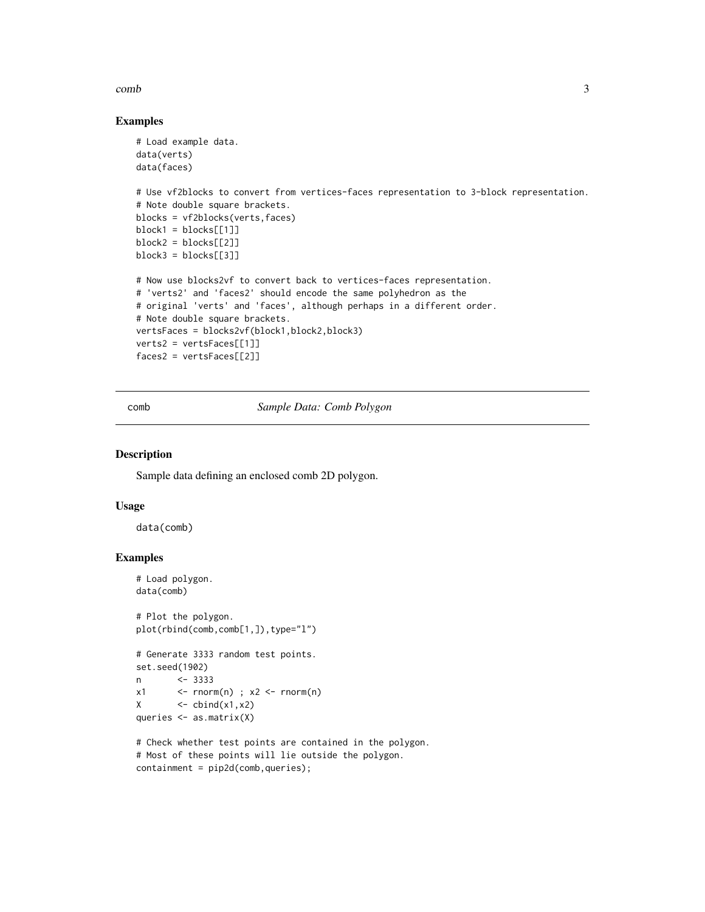#### <span id="page-2-0"></span>comb 3

## Examples

```
# Load example data.
data(verts)
data(faces)
# Use vf2blocks to convert from vertices-faces representation to 3-block representation.
# Note double square brackets.
blocks = vf2blocks(verts,faces)
block1 = blocks[[1]]
block2 = blocks[[2]]block3 = blocks[[3]]# Now use blocks2vf to convert back to vertices-faces representation.
# 'verts2' and 'faces2' should encode the same polyhedron as the
# original 'verts' and 'faces', although perhaps in a different order.
# Note double square brackets.
vertsFaces = blocks2vf(block1,block2,block3)
verts2 = vertsFaces[[1]]
faces2 = vertexFaces[[2]]
```
comb *Sample Data: Comb Polygon*

#### Description

Sample data defining an enclosed comb 2D polygon.

#### Usage

data(comb)

# Examples

```
# Load polygon.
data(comb)
# Plot the polygon.
plot(rbind(comb,comb[1,]),type="l")
# Generate 3333 random test points.
set.seed(1902)
n <- 3333
x1 \leftarrow \text{cnorm}(n); x2 \leftarrow \text{rnorm}(n)X \leftarrow \text{cbind}(x1, x2)queries <- as.matrix(X)
# Check whether test points are contained in the polygon.
# Most of these points will lie outside the polygon.
```

```
containment = pip2d(comb,queries);
```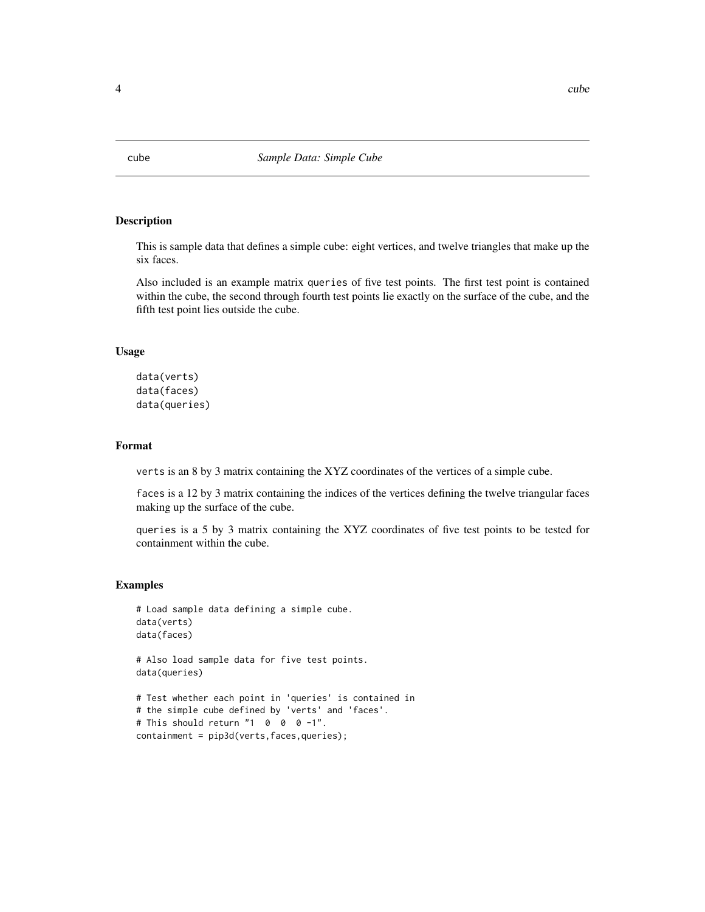# <span id="page-3-0"></span>Description

This is sample data that defines a simple cube: eight vertices, and twelve triangles that make up the six faces.

Also included is an example matrix queries of five test points. The first test point is contained within the cube, the second through fourth test points lie exactly on the surface of the cube, and the fifth test point lies outside the cube.

#### Usage

```
data(verts)
data(faces)
data(queries)
```
# Format

verts is an 8 by 3 matrix containing the XYZ coordinates of the vertices of a simple cube.

faces is a 12 by 3 matrix containing the indices of the vertices defining the twelve triangular faces making up the surface of the cube.

queries is a 5 by 3 matrix containing the XYZ coordinates of five test points to be tested for containment within the cube.

#### Examples

```
# Load sample data defining a simple cube.
data(verts)
data(faces)
# Also load sample data for five test points.
```
data(queries)

```
# Test whether each point in 'queries' is contained in
# the simple cube defined by 'verts' and 'faces'.
# This should return "1 0 0 0 -1".
containment = pip3d(verts, faces, queries);
```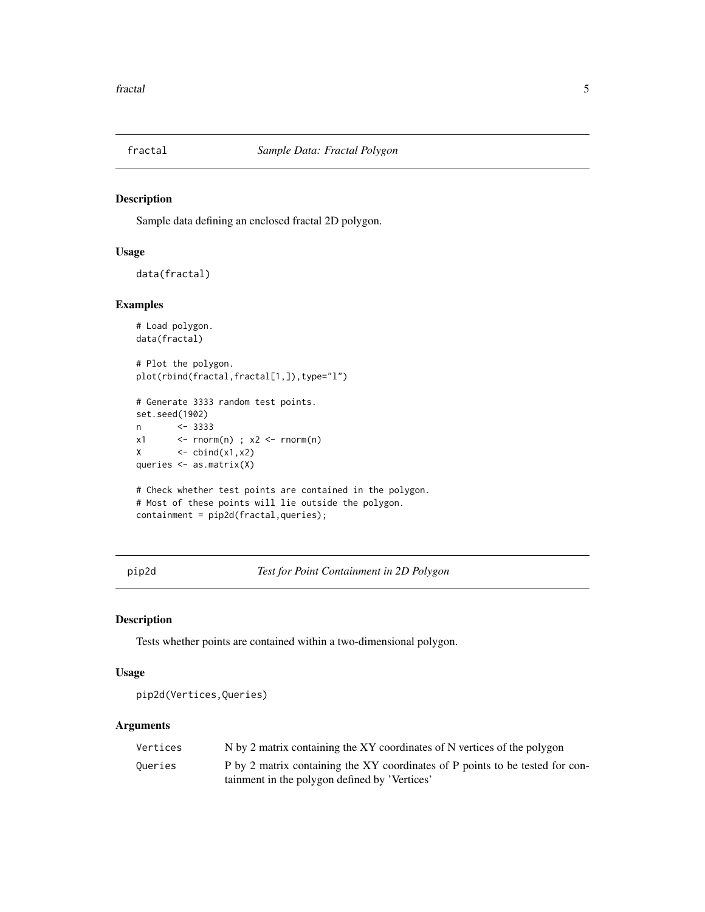<span id="page-4-0"></span>

# Description

Sample data defining an enclosed fractal 2D polygon.

# Usage

```
data(fractal)
```
#### Examples

```
# Load polygon.
data(fractal)
# Plot the polygon.
plot(rbind(fractal,fractal[1,]),type="l")
# Generate 3333 random test points.
set.seed(1902)
n <- 3333
x1 \leftarrow \text{rnorm}(n); x2 \leftarrow \text{rnorm}(n)X \leftarrow \text{cbind}(x1, x2)queries <- as.matrix(X)
# Check whether test points are contained in the polygon.
# Most of these points will lie outside the polygon.
containment = pip2d(fractal, queries);
```
pip2d *Test for Point Containment in 2D Polygon*

## Description

Tests whether points are contained within a two-dimensional polygon.

# Usage

pip2d(Vertices,Queries)

#### Arguments

| Vertices | N by 2 matrix containing the XY coordinates of N vertices of the polygon      |
|----------|-------------------------------------------------------------------------------|
| Oueries  | P by 2 matrix containing the XY coordinates of P points to be tested for con- |
|          | tainment in the polygon defined by 'Vertices'                                 |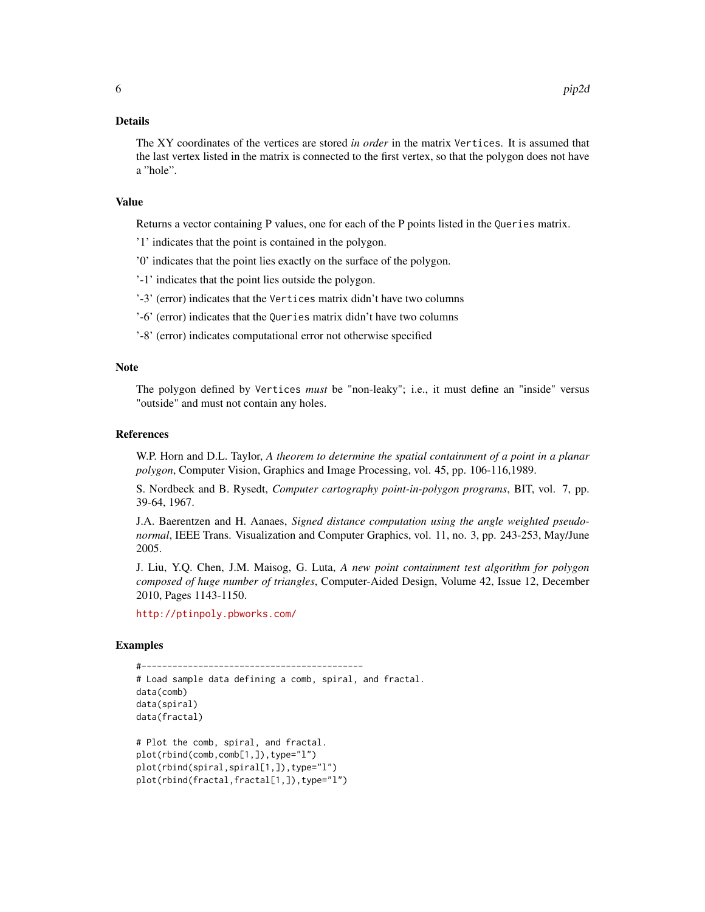#### Details

The XY coordinates of the vertices are stored *in order* in the matrix Vertices. It is assumed that the last vertex listed in the matrix is connected to the first vertex, so that the polygon does not have a "hole".

### Value

Returns a vector containing P values, one for each of the P points listed in the Queries matrix.

- '1' indicates that the point is contained in the polygon.
- '0' indicates that the point lies exactly on the surface of the polygon.

'-1' indicates that the point lies outside the polygon.

- '-3' (error) indicates that the Vertices matrix didn't have two columns
- '-6' (error) indicates that the Queries matrix didn't have two columns
- '-8' (error) indicates computational error not otherwise specified

#### Note

The polygon defined by Vertices *must* be "non-leaky"; i.e., it must define an "inside" versus "outside" and must not contain any holes.

#### References

W.P. Horn and D.L. Taylor, *A theorem to determine the spatial containment of a point in a planar polygon*, Computer Vision, Graphics and Image Processing, vol. 45, pp. 106-116,1989.

S. Nordbeck and B. Rysedt, *Computer cartography point-in-polygon programs*, BIT, vol. 7, pp. 39-64, 1967.

J.A. Baerentzen and H. Aanaes, *Signed distance computation using the angle weighted pseudonormal*, IEEE Trans. Visualization and Computer Graphics, vol. 11, no. 3, pp. 243-253, May/June 2005.

J. Liu, Y.Q. Chen, J.M. Maisog, G. Luta, *A new point containment test algorithm for polygon composed of huge number of triangles*, Computer-Aided Design, Volume 42, Issue 12, December 2010, Pages 1143-1150.

<http://ptinpoly.pbworks.com/>

#### Examples

```
#-------------------------------------------
# Load sample data defining a comb, spiral, and fractal.
data(comb)
data(spiral)
data(fractal)
# Plot the comb, spiral, and fractal.
plot(rbind(comb,comb[1,]),type="l")
plot(rbind(spiral,spiral[1,]),type="l")
plot(rbind(fractal,fractal[1,]),type="l")
```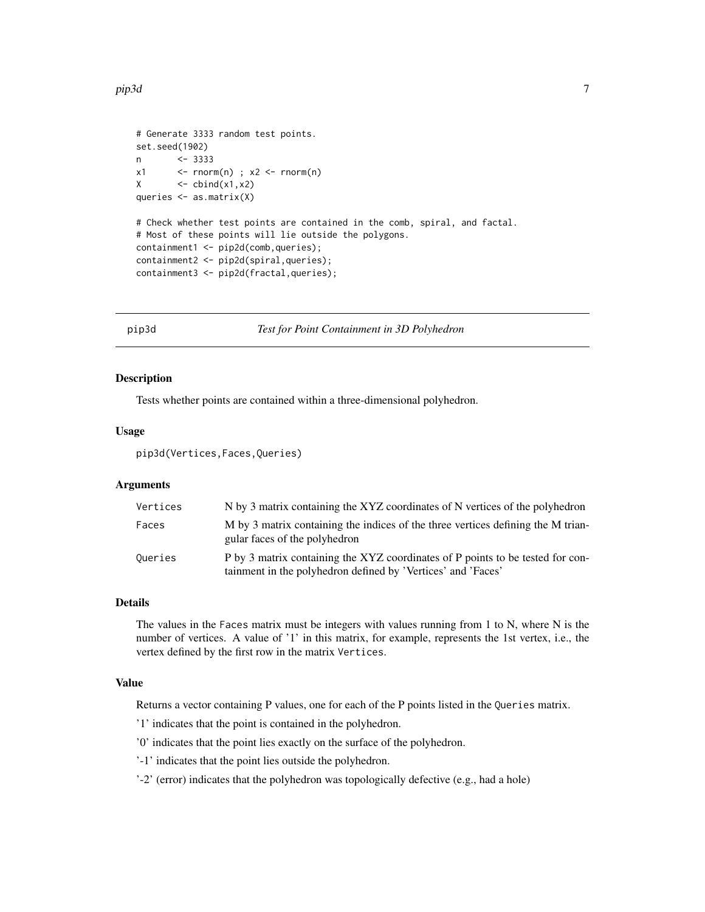#### <span id="page-6-0"></span>pip3d 7

```
# Generate 3333 random test points.
set.seed(1902)
n <- 3333
x1 \leftarrow - rnorm(n) ; x2 \leftarrow rnorm(n)
X \leftarrow \text{cbind}(x1, x2)queries <- as.matrix(X)
# Check whether test points are contained in the comb, spiral, and factal.
# Most of these points will lie outside the polygons.
containment1 <- pip2d(comb,queries);
containment2 <- pip2d(spiral,queries);
containment3 <- pip2d(fractal,queries);
```
pip3d *Test for Point Containment in 3D Polyhedron*

#### Description

Tests whether points are contained within a three-dimensional polyhedron.

#### Usage

pip3d(Vertices,Faces,Queries)

### Arguments

| Vertices | N by 3 matrix containing the XYZ coordinates of N vertices of the polyhedron                                                                   |
|----------|------------------------------------------------------------------------------------------------------------------------------------------------|
| Faces    | M by 3 matrix containing the indices of the three vertices defining the M trian-<br>gular faces of the polyhedron                              |
| Queries  | P by 3 matrix containing the XYZ coordinates of P points to be tested for con-<br>tainment in the polyhedron defined by 'Vertices' and 'Faces' |

# Details

The values in the Faces matrix must be integers with values running from 1 to N, where N is the number of vertices. A value of '1' in this matrix, for example, represents the 1st vertex, i.e., the vertex defined by the first row in the matrix Vertices.

# Value

Returns a vector containing P values, one for each of the P points listed in the Queries matrix.

'1' indicates that the point is contained in the polyhedron.

'0' indicates that the point lies exactly on the surface of the polyhedron.

'-1' indicates that the point lies outside the polyhedron.

'-2' (error) indicates that the polyhedron was topologically defective (e.g., had a hole)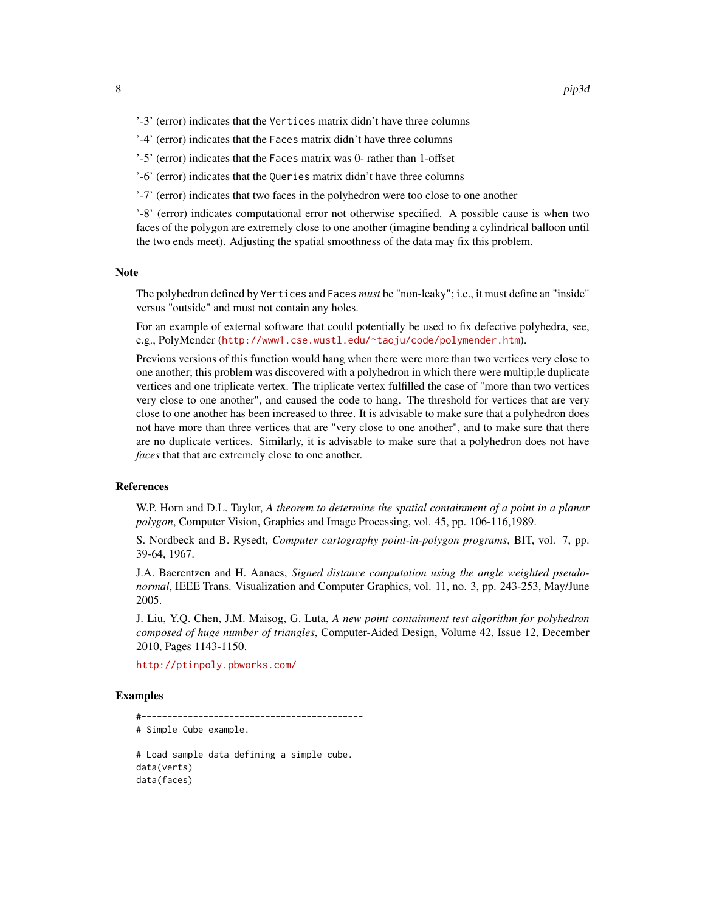- '-3' (error) indicates that the Vertices matrix didn't have three columns
- '-4' (error) indicates that the Faces matrix didn't have three columns
- '-5' (error) indicates that the Faces matrix was 0- rather than 1-offset
- '-6' (error) indicates that the Queries matrix didn't have three columns
- '-7' (error) indicates that two faces in the polyhedron were too close to one another

'-8' (error) indicates computational error not otherwise specified. A possible cause is when two faces of the polygon are extremely close to one another (imagine bending a cylindrical balloon until the two ends meet). Adjusting the spatial smoothness of the data may fix this problem.

#### Note

The polyhedron defined by Vertices and Faces *must* be "non-leaky"; i.e., it must define an "inside" versus "outside" and must not contain any holes.

For an example of external software that could potentially be used to fix defective polyhedra, see, e.g., PolyMender (<http://www1.cse.wustl.edu/~taoju/code/polymender.htm>).

Previous versions of this function would hang when there were more than two vertices very close to one another; this problem was discovered with a polyhedron in which there were multip;le duplicate vertices and one triplicate vertex. The triplicate vertex fulfilled the case of "more than two vertices very close to one another", and caused the code to hang. The threshold for vertices that are very close to one another has been increased to three. It is advisable to make sure that a polyhedron does not have more than three vertices that are "very close to one another", and to make sure that there are no duplicate vertices. Similarly, it is advisable to make sure that a polyhedron does not have *faces* that that are extremely close to one another.

#### References

W.P. Horn and D.L. Taylor, *A theorem to determine the spatial containment of a point in a planar polygon*, Computer Vision, Graphics and Image Processing, vol. 45, pp. 106-116,1989.

S. Nordbeck and B. Rysedt, *Computer cartography point-in-polygon programs*, BIT, vol. 7, pp. 39-64, 1967.

J.A. Baerentzen and H. Aanaes, *Signed distance computation using the angle weighted pseudonormal*, IEEE Trans. Visualization and Computer Graphics, vol. 11, no. 3, pp. 243-253, May/June 2005.

J. Liu, Y.Q. Chen, J.M. Maisog, G. Luta, *A new point containment test algorithm for polyhedron composed of huge number of triangles*, Computer-Aided Design, Volume 42, Issue 12, December 2010, Pages 1143-1150.

<http://ptinpoly.pbworks.com/>

#### Examples

#------------------------------------------- # Simple Cube example.

# Load sample data defining a simple cube. data(verts) data(faces)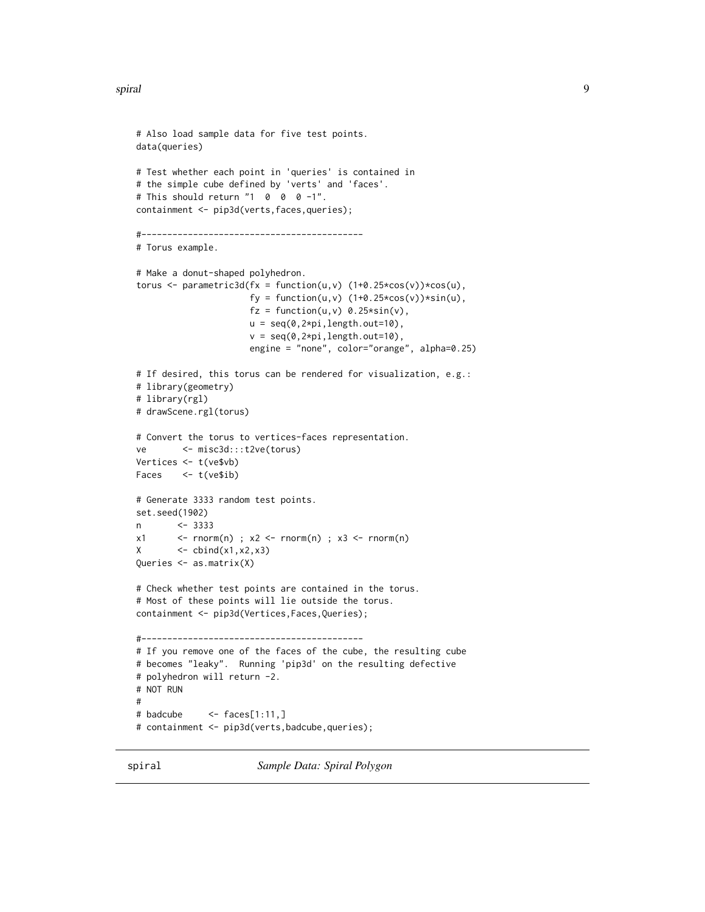<span id="page-8-0"></span>spiral to the contract of the contract of the contract of the contract of the contract of the contract of the contract of the contract of the contract of the contract of the contract of the contract of the contract of the

```
# Also load sample data for five test points.
data(queries)
# Test whether each point in 'queries' is contained in
# the simple cube defined by 'verts' and 'faces'.
# This should return "1 0 0 0 -1".
containment <- pip3d(verts, faces, queries);
#-------------------------------------------
# Torus example.
# Make a donut-shaped polyhedron.
torus \leq parametric3d(fx = function(u,v) (1+0.25*cos(v))*cos(u),
                       fy = function(u,v) (1+0.25 \times \cos(v)) \times \sin(u),
                       fz = function(u, v) 0.25*sin(v),
                       u = seq(0,2*pi,length.out=10),
                       v = seq(0, 2*pi, length.out=10),
                       engine = "none", color="orange", alpha=0.25)
# If desired, this torus can be rendered for visualization, e.g.:
# library(geometry)
# library(rgl)
# drawScene.rgl(torus)
# Convert the torus to vertices-faces representation.
ve <- misc3d:::t2ve(torus)
Vertices <- t(ve$vb)
Faces <- t(ve$ib)
# Generate 3333 random test points.
set.seed(1902)
n <- 3333
x1 \leftarrow \text{form}(n); x2 \leftarrow \text{norm}(n); x3 \leftarrow \text{norm}(n)X \leftarrow \text{cbind}(x1, x2, x3)Queries <- as.matrix(X)
# Check whether test points are contained in the torus.
# Most of these points will lie outside the torus.
containment <- pip3d(Vertices,Faces,Queries);
#-------------------------------------------
# If you remove one of the faces of the cube, the resulting cube
# becomes "leaky". Running 'pip3d' on the resulting defective
# polyhedron will return -2.
# NOT RUN
#
# badcube \leq faces[1:11,]
# containment <- pip3d(verts,badcube,queries);
```
spiral *Sample Data: Spiral Polygon*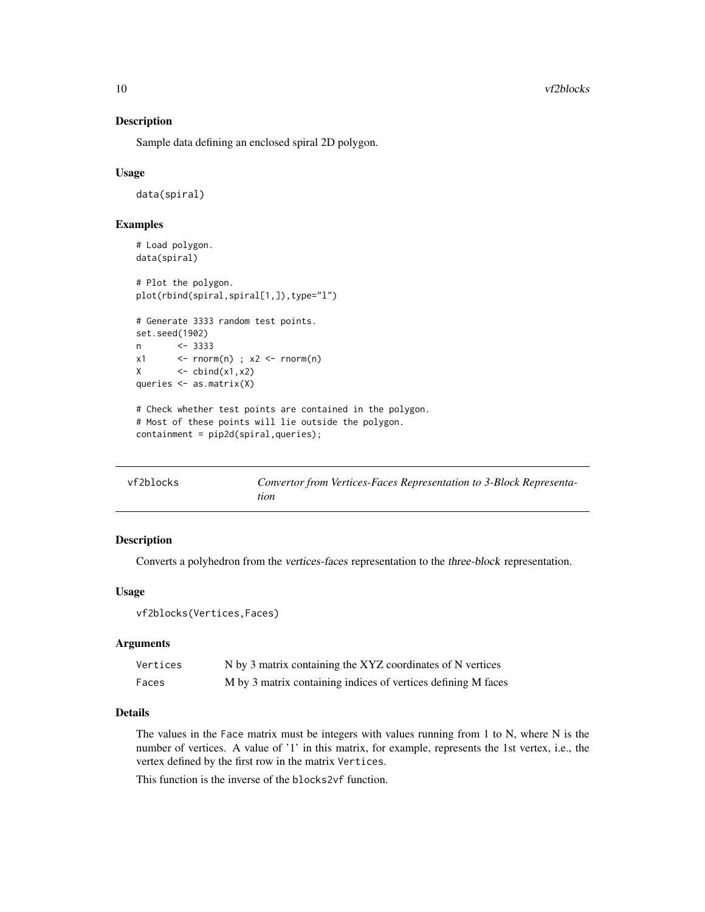<span id="page-9-0"></span>10 vf2blocks

#### Description

Sample data defining an enclosed spiral 2D polygon.

### Usage

data(spiral)

# Examples

```
# Load polygon.
data(spiral)
# Plot the polygon.
plot(rbind(spiral,spiral[1,]),type="l")
# Generate 3333 random test points.
set.seed(1902)
n <- 3333
x1 \le - rnorm(n) ; x2 \le rnorm(n)
X \leftarrow \text{cbind}(x1, x2)queries <- as.matrix(X)
# Check whether test points are contained in the polygon.
# Most of these points will lie outside the polygon.
containment = pip2d(spiral,queries);
```

| vf2blocks | Convertor from Vertices-Faces Representation to 3-Block Representa- |
|-----------|---------------------------------------------------------------------|
|           | tion                                                                |

### Description

Converts a polyhedron from the vertices-faces representation to the three-block representation.

#### Usage

```
vf2blocks(Vertices,Faces)
```
#### **Arguments**

| Vertices | N by 3 matrix containing the XYZ coordinates of N vertices    |
|----------|---------------------------------------------------------------|
| Faces    | M by 3 matrix containing indices of vertices defining M faces |

# Details

The values in the Face matrix must be integers with values running from 1 to N, where N is the number of vertices. A value of '1' in this matrix, for example, represents the 1st vertex, i.e., the vertex defined by the first row in the matrix Vertices.

This function is the inverse of the blocks2vf function.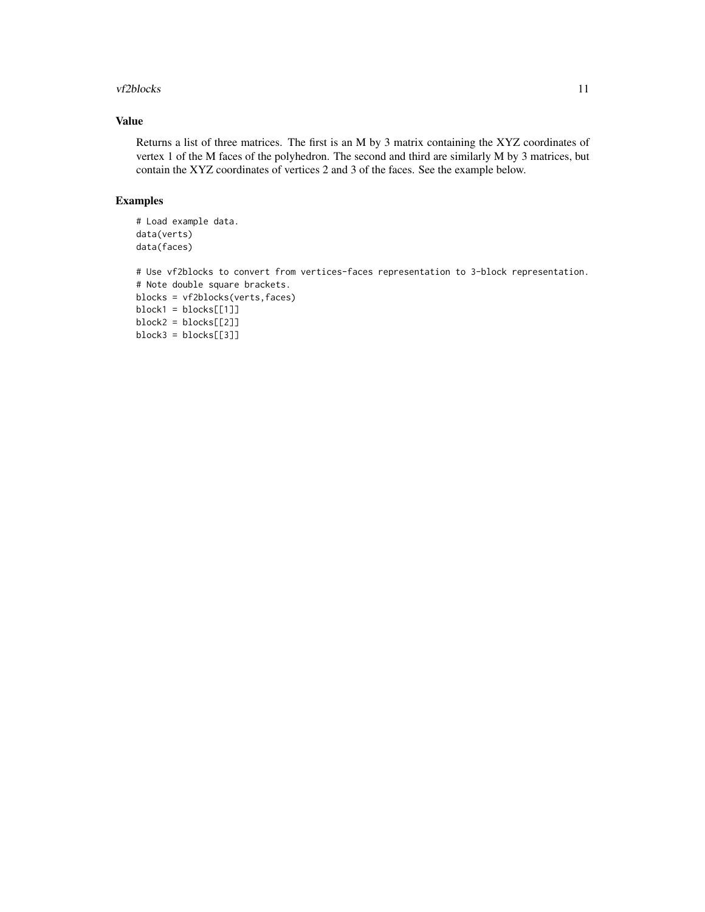#### vf2blocks 11

# Value

Returns a list of three matrices. The first is an M by 3 matrix containing the XYZ coordinates of vertex 1 of the M faces of the polyhedron. The second and third are similarly M by 3 matrices, but contain the XYZ coordinates of vertices 2 and 3 of the faces. See the example below.

#### Examples

```
# Load example data.
data(verts)
data(faces)
```

```
# Use vf2blocks to convert from vertices-faces representation to 3-block representation.
# Note double square brackets.
blocks = vf2blocks(verts,faces)
block1 = blocks[[1]]block2 = blocks[[2]]block3 = blocks[[3]]
```